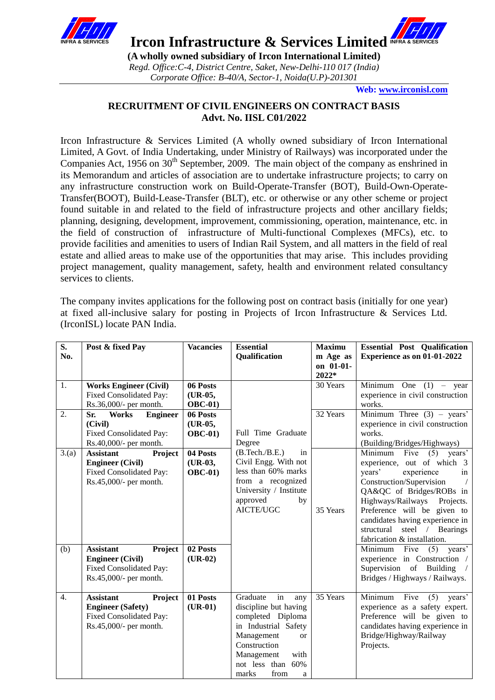

**IFRA & SERVICES Ircon Infrastructure & Services Limited** INFRA & SERVICES

**(A wholly owned subsidiary of Ircon International Limited)** *Regd. Office:C-4, District Centre, Saket, New-Delhi-110 017 (India) Corporate Office: B-40/A, Sector-1, Noida(U.P)-201301*

**Web[: www.irconisl.com](http://www.irconisl.com/)**

# **RECRUITMENT OF CIVIL ENGINEERS ON CONTRACT BASIS Advt. No. IISL C01/2022**

Ircon Infrastructure & Services Limited (A wholly owned subsidiary of Ircon International Limited, A Govt. of India Undertaking, under Ministry of Railways) was incorporated under the Companies Act, 1956 on 30<sup>th</sup> September, 2009. The main object of the company as enshrined in its Memorandum and articles of association are to undertake infrastructure projects; to carry on any infrastructure construction work on Build-Operate-Transfer (BOT), Build-Own-Operate-Transfer(BOOT), Build-Lease-Transfer (BLT), etc. or otherwise or any other scheme or project found suitable in and related to the field of infrastructure projects and other ancillary fields; planning, designing, development, improvement, commissioning, operation, maintenance, etc. in the field of construction of infrastructure of Multi-functional Complexes (MFCs), etc. to provide facilities and amenities to users of Indian Rail System, and all matters in the field of real estate and allied areas to make use of the opportunities that may arise. This includes providing project management, quality management, safety, health and environment related consultancy services to clients.

The company invites applications for the following post on contract basis (initially for one year) at fixed all-inclusive salary for posting in Projects of Ircon Infrastructure & Services Ltd. (IrconISL) locate PAN India.

| S.<br>No.        | Post & fixed Pay                                                                                                                                                                                 | <b>Vacancies</b>                                                  | <b>Essential</b><br><b>Qualification</b>                                                                                                                                                                | <b>Maximu</b><br>m Age as<br>on 01-01-<br>2022* | <b>Essential Post Qualification</b><br>Experience as on 01-01-2022                                                                                                                                                                                                                                                                                                                                                             |
|------------------|--------------------------------------------------------------------------------------------------------------------------------------------------------------------------------------------------|-------------------------------------------------------------------|---------------------------------------------------------------------------------------------------------------------------------------------------------------------------------------------------------|-------------------------------------------------|--------------------------------------------------------------------------------------------------------------------------------------------------------------------------------------------------------------------------------------------------------------------------------------------------------------------------------------------------------------------------------------------------------------------------------|
| 1.               | <b>Works Engineer (Civil)</b><br>Fixed Consolidated Pay:<br>Rs.36,000/- per month.                                                                                                               | 06 Posts<br>(UR-05,<br><b>OBC-01</b> )                            |                                                                                                                                                                                                         | 30 Years                                        | Minimum One $(1)$ – year<br>experience in civil construction<br>works.                                                                                                                                                                                                                                                                                                                                                         |
| 2.               | Works<br><b>Engineer</b><br>Sr.<br>(Civil)<br>Fixed Consolidated Pay:<br>Rs.40,000/- per month.                                                                                                  | 06 Posts<br>$(UR-05,$<br><b>OBC-01</b> )                          | Full Time Graduate<br>Degree                                                                                                                                                                            | 32 Years                                        | Minimum Three $(3)$ – years'<br>experience in civil construction<br>works.<br>(Building/Bridges/Highways)                                                                                                                                                                                                                                                                                                                      |
| 3(a)<br>(b)      | <b>Assistant</b><br>Project<br><b>Engineer (Civil)</b><br>Fixed Consolidated Pay:<br>Rs.45,000/- per month.<br><b>Assistant</b><br>Project<br><b>Engineer (Civil)</b><br>Fixed Consolidated Pay: | 04 Posts<br>$(UR-03,$<br><b>OBC-01</b> )<br>02 Posts<br>$(UR-02)$ | (B.Tech./B.E.)<br>in<br>Civil Engg. With not<br>less than 60% marks<br>from a recognized<br>University / Institute<br>approved<br>by<br><b>AICTE/UGC</b>                                                | 35 Years                                        | Minimum Five<br>$(5)$ years'<br>experience, out of which 3<br>years'<br>experience<br>in<br>Construction/Supervision<br>QA&QC of Bridges/ROBs in<br>Highways/Railways<br>Projects.<br>Preference will be given to<br>candidates having experience in<br>structural<br>steel / Bearings<br>fabrication & installation.<br>Minimum<br>Five<br>years'<br>(5)<br>experience in Construction /<br>Supervision of<br><b>Building</b> |
| $\overline{4}$ . | Rs.45,000/- per month.<br><b>Assistant</b><br>Project<br><b>Engineer (Safety)</b><br>Fixed Consolidated Pay:<br>Rs.45,000/- per month.                                                           | 01 Posts<br>$(UR-01)$                                             | in<br>Graduate<br>any<br>discipline but having<br>completed Diploma<br>in Industrial Safety<br>Management<br><b>or</b><br>Construction<br>Management<br>with<br>not less than 60%<br>marks<br>from<br>a | 35 Years                                        | Bridges / Highways / Railways.<br>Minimum<br>Five<br>(5)<br>years'<br>experience as a safety expert.<br>Preference will be given to<br>candidates having experience in<br>Bridge/Highway/Railway<br>Projects.                                                                                                                                                                                                                  |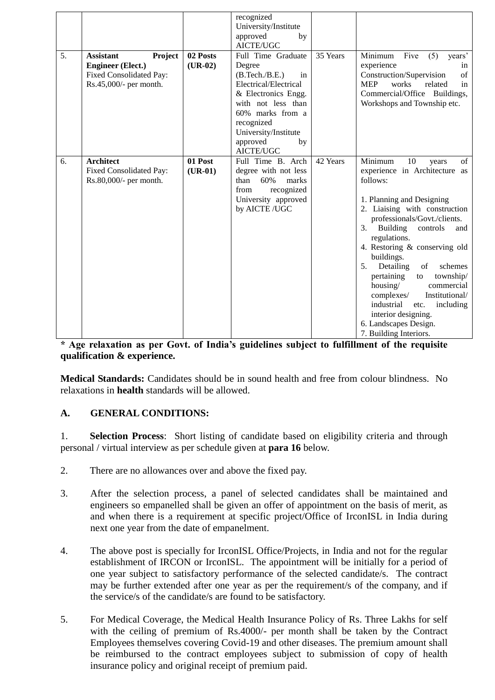| 5. | <b>Assistant</b><br>Project<br><b>Engineer</b> (Elect.)<br>Fixed Consolidated Pay:<br>Rs.45,000/- per month. | 02 Posts<br>$(UR-02)$ | recognized<br>University/Institute<br>approved<br>by<br>AICTE/UGC<br>Full Time Graduate<br>Degree<br>(B.Tech./B.E.)<br>in<br>Electrical/Electrical<br>& Electronics Engg.<br>with not less than<br>60% marks from a<br>recognized<br>University/Institute<br>approved<br>by<br>AICTE/UGC | 35 Years | Minimum<br>Five<br>(5)<br>years'<br>experience<br>in<br>of<br>Construction/Supervision<br><b>MEP</b><br>works<br>related<br>in<br>Commercial/Office Buildings,<br>Workshops and Township etc.                                                                                                                                                                                                                                                                                                                           |
|----|--------------------------------------------------------------------------------------------------------------|-----------------------|------------------------------------------------------------------------------------------------------------------------------------------------------------------------------------------------------------------------------------------------------------------------------------------|----------|-------------------------------------------------------------------------------------------------------------------------------------------------------------------------------------------------------------------------------------------------------------------------------------------------------------------------------------------------------------------------------------------------------------------------------------------------------------------------------------------------------------------------|
| 6. | <b>Architect</b><br>Fixed Consolidated Pay:<br>Rs.80,000/- per month.                                        | 01 Post<br>$(UR-01)$  | Full Time B. Arch<br>degree with not less<br>than<br>60%<br>marks<br>recognized<br>from<br>University approved<br>by AICTE /UGC                                                                                                                                                          | 42 Years | Minimum<br>10<br>of<br>years<br>experience in Architecture as<br>follows:<br>1. Planning and Designing<br>2. Liaising with construction<br>professionals/Govt./clients.<br>Building<br>controls<br>3.<br>and<br>regulations.<br>4. Restoring & conserving old<br>buildings.<br>Detailing<br>5.<br>of<br>schemes<br>pertaining<br>township/<br>to<br>housing/<br>commercial<br>complexes/<br>Institutional/<br>industrial<br>including<br>etc.<br>interior designing.<br>6. Landscapes Design.<br>7. Building Interiors. |

**\* Age relaxation as per Govt. of India's guidelines subject to fulfillment of the requisite qualification & experience.**

**Medical Standards:** Candidates should be in sound health and free from colour blindness. No relaxations in **health** standards will be allowed.

# **A. GENERAL CONDITIONS:**

1. **Selection Process**: Short listing of candidate based on eligibility criteria and through personal / virtual interview as per schedule given at **para 16** below.

- 2. There are no allowances over and above the fixed pay.
- 3. After the selection process, a panel of selected candidates shall be maintained and engineers so empanelled shall be given an offer of appointment on the basis of merit, as and when there is a requirement at specific project/Office of IrconISL in India during next one year from the date of empanelment.
- 4. The above post is specially for IrconISL Office/Projects, in India and not for the regular establishment of IRCON or IrconISL. The appointment will be initially for a period of one year subject to satisfactory performance of the selected candidate/s. The contract may be further extended after one year as per the requirement/s of the company, and if the service/s of the candidate/s are found to be satisfactory.
- 5. For Medical Coverage, the Medical Health Insurance Policy of Rs. Three Lakhs for self with the ceiling of premium of Rs.4000/- per month shall be taken by the Contract Employees themselves covering Covid-19 and other diseases. The premium amount shall be reimbursed to the contract employees subject to submission of copy of health insurance policy and original receipt of premium paid.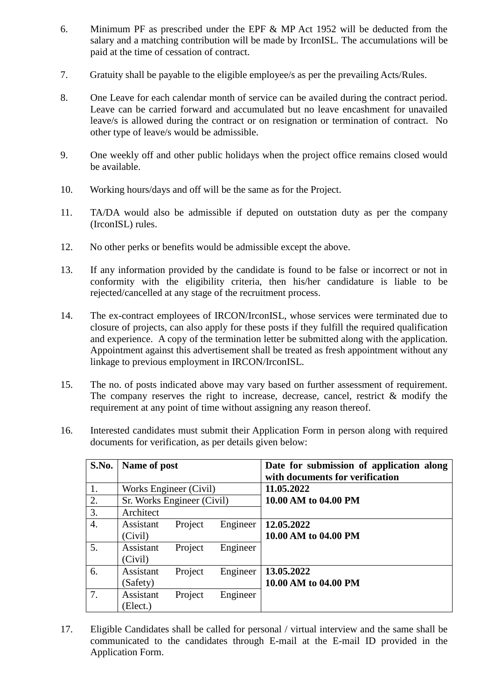- 6. Minimum PF as prescribed under the EPF & MP Act 1952 will be deducted from the salary and a matching contribution will be made by IrconISL. The accumulations will be paid at the time of cessation of contract.
- 7. Gratuity shall be payable to the eligible employee/s as per the prevailing Acts/Rules.
- 8. One Leave for each calendar month of service can be availed during the contract period. Leave can be carried forward and accumulated but no leave encashment for unavailed leave/s is allowed during the contract or on resignation or termination of contract. No other type of leave/s would be admissible.
- 9. One weekly off and other public holidays when the project office remains closed would be available.
- 10. Working hours/days and off will be the same as for the Project.
- 11. TA/DA would also be admissible if deputed on outstation duty as per the company (IrconISL) rules.
- 12. No other perks or benefits would be admissible except the above.
- 13. If any information provided by the candidate is found to be false or incorrect or not in conformity with the eligibility criteria, then his/her candidature is liable to be rejected/cancelled at any stage of the recruitment process.
- 14. The ex-contract employees of IRCON/IrconISL, whose services were terminated due to closure of projects, can also apply for these posts if they fulfill the required qualification and experience. A copy of the termination letter be submitted along with the application. Appointment against this advertisement shall be treated as fresh appointment without any linkage to previous employment in IRCON/IrconISL.
- 15. The no. of posts indicated above may vary based on further assessment of requirement. The company reserves the right to increase, decrease, cancel, restrict & modify the requirement at any point of time without assigning any reason thereof.
- 16. Interested candidates must submit their Application Form in person along with required documents for verification, as per details given below:

| S.No. | Name of post               |         |          | Date for submission of application along<br>with documents for verification |
|-------|----------------------------|---------|----------|-----------------------------------------------------------------------------|
| 1.    | Works Engineer (Civil)     |         |          | 11.05.2022                                                                  |
| 2.    | Sr. Works Engineer (Civil) |         |          | 10.00 AM to 04.00 PM                                                        |
| 3.    | Architect                  |         |          |                                                                             |
| 4.    | Assistant<br>(Civil)       | Project | Engineer | 12.05.2022<br>10.00 AM to 04.00 PM                                          |
| 5.    | Assistant<br>(Civil)       | Project | Engineer |                                                                             |
| 6.    | Assistant<br>(Safety)      | Project | Engineer | 13.05.2022<br>10.00 AM to 04.00 PM                                          |
| 7.    | Assistant<br>Elect.)       | Project | Engineer |                                                                             |

17. Eligible Candidates shall be called for personal / virtual interview and the same shall be communicated to the candidates through E-mail at the E-mail ID provided in the Application Form.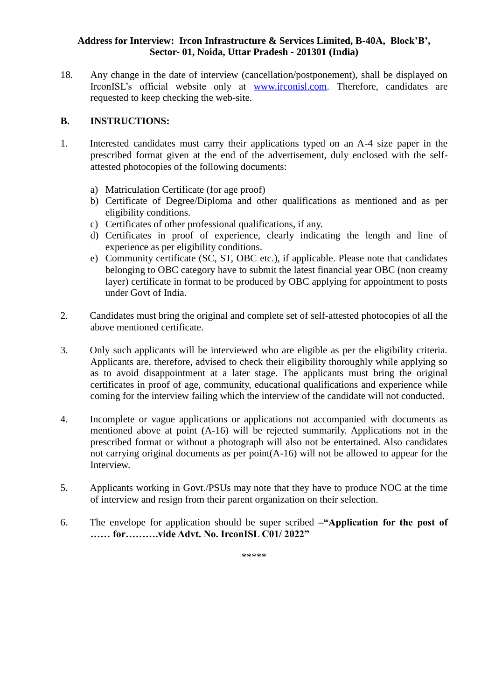# **Address for Interview: Ircon Infrastructure & Services Limited, B-40A, Block'B', Sector- 01, Noida, Uttar Pradesh - 201301 (India)**

18. Any change in the date of interview (cancellation/postponement), shall be displayed on IrconISL's official website only at [www.irconisl.com.](http://www.irconisl.com/) Therefore, candidates are requested to keep checking the web-site.

## **B. INSTRUCTIONS:**

- 1. Interested candidates must carry their applications typed on an A-4 size paper in the prescribed format given at the end of the advertisement, duly enclosed with the selfattested photocopies of the following documents:
	- a) Matriculation Certificate (for age proof)
	- b) Certificate of Degree/Diploma and other qualifications as mentioned and as per eligibility conditions.
	- c) Certificates of other professional qualifications, if any.
	- d) Certificates in proof of experience, clearly indicating the length and line of experience as per eligibility conditions.
	- e) Community certificate (SC, ST, OBC etc.), if applicable. Please note that candidates belonging to OBC category have to submit the latest financial year OBC (non creamy layer) certificate in format to be produced by OBC applying for appointment to posts under Govt of India.
- 2. Candidates must bring the original and complete set of self-attested photocopies of all the above mentioned certificate.
- 3. Only such applicants will be interviewed who are eligible as per the eligibility criteria. Applicants are, therefore, advised to check their eligibility thoroughly while applying so as to avoid disappointment at a later stage. The applicants must bring the original certificates in proof of age, community, educational qualifications and experience while coming for the interview failing which the interview of the candidate will not conducted.
- 4. Incomplete or vague applications or applications not accompanied with documents as mentioned above at point (A-16) will be rejected summarily. Applications not in the prescribed format or without a photograph will also not be entertained. Also candidates not carrying original documents as per point(A-16) will not be allowed to appear for the Interview.
- 5. Applicants working in Govt./PSUs may note that they have to produce NOC at the time of interview and resign from their parent organization on their selection.
- 6. The envelope for application should be super scribed **–"Application for the post of …… for……….vide Advt. No. IrconISL C01/ 2022"**

\*\*\*\*\*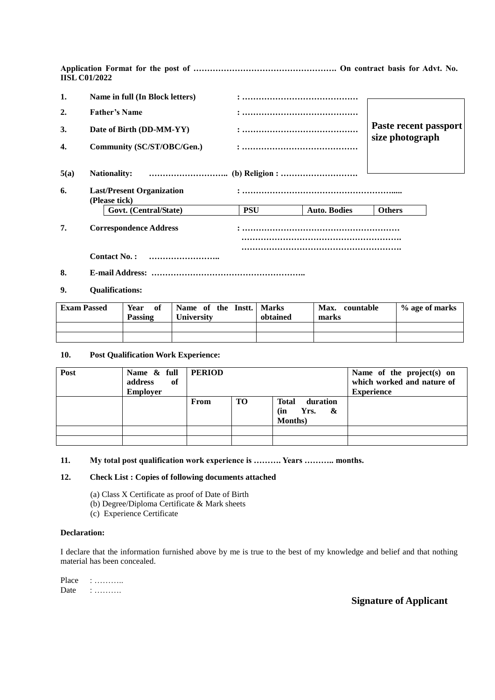**Application Format for the post of ……………………………………………. On contract basis for Advt. No. IISL C01/2022**

| 1.   | Name in full (In Block letters)                   |            |                     |                                          |  |  |  |
|------|---------------------------------------------------|------------|---------------------|------------------------------------------|--|--|--|
| 2.   | <b>Father's Name</b>                              |            |                     |                                          |  |  |  |
| 3.   | Date of Birth (DD-MM-YY)                          |            |                     | Paste recent passport<br>size photograph |  |  |  |
| 4.   | Community (SC/ST/OBC/Gen.)                        |            |                     |                                          |  |  |  |
| 5(a) |                                                   |            |                     |                                          |  |  |  |
| 6.   | <b>Last/Present Organization</b><br>(Please tick) |            |                     |                                          |  |  |  |
|      | Govt. (Central/State)                             | <b>PSU</b> | <b>Auto. Bodies</b> | <b>Others</b>                            |  |  |  |
| 7.   | <b>Correspondence Address</b>                     |            |                     |                                          |  |  |  |
|      |                                                   |            |                     |                                          |  |  |  |
|      | <b>Contact No.:</b>                               |            |                     |                                          |  |  |  |
| 8.   |                                                   |            |                     |                                          |  |  |  |

#### **9. Qualifications:**

| <b>Exam Passed</b> | Year<br>- of<br>Passing | Name of the Instt.   Marks<br><b>University</b> | obtained | Max. countable<br>marks | % age of marks |
|--------------------|-------------------------|-------------------------------------------------|----------|-------------------------|----------------|
|                    |                         |                                                 |          |                         |                |
|                    |                         |                                                 |          |                         |                |

#### **10. Post Qualification Work Experience:**

| Post | Name $\&$ full   PERIOD<br>of<br>address<br><b>Employer</b> |      |    |                                                                 | Name of the project(s) on<br>which worked and nature of<br><b>Experience</b> |
|------|-------------------------------------------------------------|------|----|-----------------------------------------------------------------|------------------------------------------------------------------------------|
|      |                                                             | From | TO | duration<br><b>Total</b><br>&<br>Yrs.<br>(in<br><b>Months</b> ) |                                                                              |
|      |                                                             |      |    |                                                                 |                                                                              |
|      |                                                             |      |    |                                                                 |                                                                              |

### **11. My total post qualification work experience is ………. Years ……….. months.**

### **12. Check List : Copies of following documents attached**

- (a) Class X Certificate as proof of Date of Birth
- (b) Degree/Diploma Certificate & Mark sheets
- (c) Experience Certificate

### **Declaration:**

I declare that the information furnished above by me is true to the best of my knowledge and belief and that nothing material has been concealed.

Place : ………… Date : ………

### **Signature of Applicant**